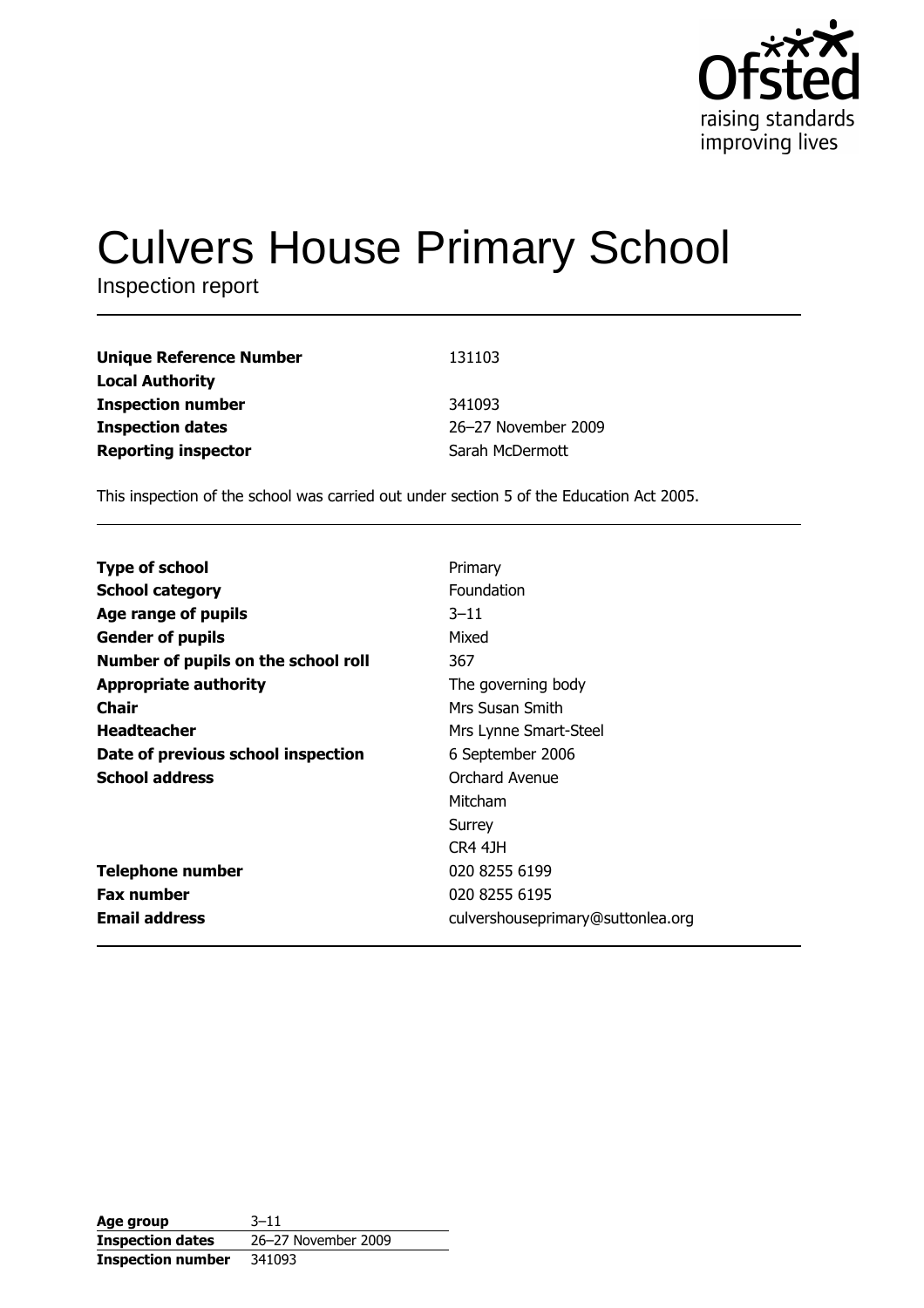

# **Culvers House Primary School**

Inspection report

| <b>Unique Reference Number</b> | 131103              |
|--------------------------------|---------------------|
| <b>Local Authority</b>         |                     |
| <b>Inspection number</b>       | 341093              |
| <b>Inspection dates</b>        | 26-27 November 2009 |
| <b>Reporting inspector</b>     | Sarah McDermott     |

This inspection of the school was carried out under section 5 of the Education Act 2005.

| <b>Type of school</b>               | Primary                           |
|-------------------------------------|-----------------------------------|
| <b>School category</b>              | Foundation                        |
| Age range of pupils                 | $3 - 11$                          |
| <b>Gender of pupils</b>             | Mixed                             |
| Number of pupils on the school roll | 367                               |
| <b>Appropriate authority</b>        | The governing body                |
| Chair                               | Mrs Susan Smith                   |
| <b>Headteacher</b>                  | Mrs Lynne Smart-Steel             |
| Date of previous school inspection  | 6 September 2006                  |
| <b>School address</b>               | Orchard Avenue                    |
|                                     | Mitcham                           |
|                                     | Surrey                            |
|                                     | <b>CR4 41H</b>                    |
| <b>Telephone number</b>             | 020 8255 6199                     |
| <b>Fax number</b>                   | 020 8255 6195                     |
| <b>Email address</b>                | culvershouseprimary@suttonlea.org |

| Age group                | $3 - 11$            |
|--------------------------|---------------------|
| <b>Inspection dates</b>  | 26-27 November 2009 |
| <b>Inspection number</b> | 341093              |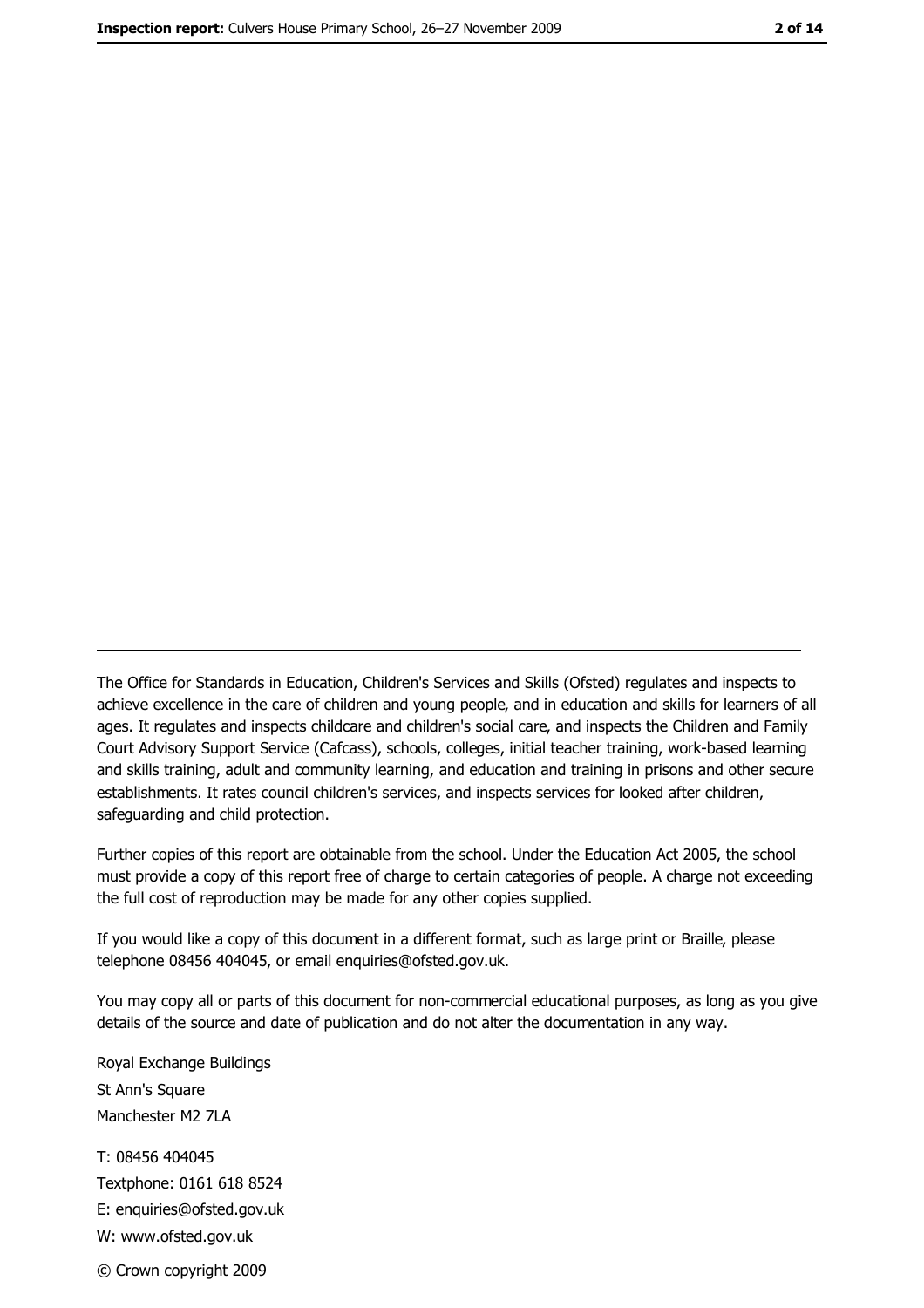The Office for Standards in Education, Children's Services and Skills (Ofsted) regulates and inspects to achieve excellence in the care of children and young people, and in education and skills for learners of all ages. It regulates and inspects childcare and children's social care, and inspects the Children and Family Court Advisory Support Service (Cafcass), schools, colleges, initial teacher training, work-based learning and skills training, adult and community learning, and education and training in prisons and other secure establishments. It rates council children's services, and inspects services for looked after children, safequarding and child protection.

Further copies of this report are obtainable from the school. Under the Education Act 2005, the school must provide a copy of this report free of charge to certain categories of people. A charge not exceeding the full cost of reproduction may be made for any other copies supplied.

If you would like a copy of this document in a different format, such as large print or Braille, please telephone 08456 404045, or email enquiries@ofsted.gov.uk.

You may copy all or parts of this document for non-commercial educational purposes, as long as you give details of the source and date of publication and do not alter the documentation in any way.

Royal Exchange Buildings St Ann's Square Manchester M2 7LA T: 08456 404045 Textphone: 0161 618 8524 E: enquiries@ofsted.gov.uk W: www.ofsted.gov.uk © Crown copyright 2009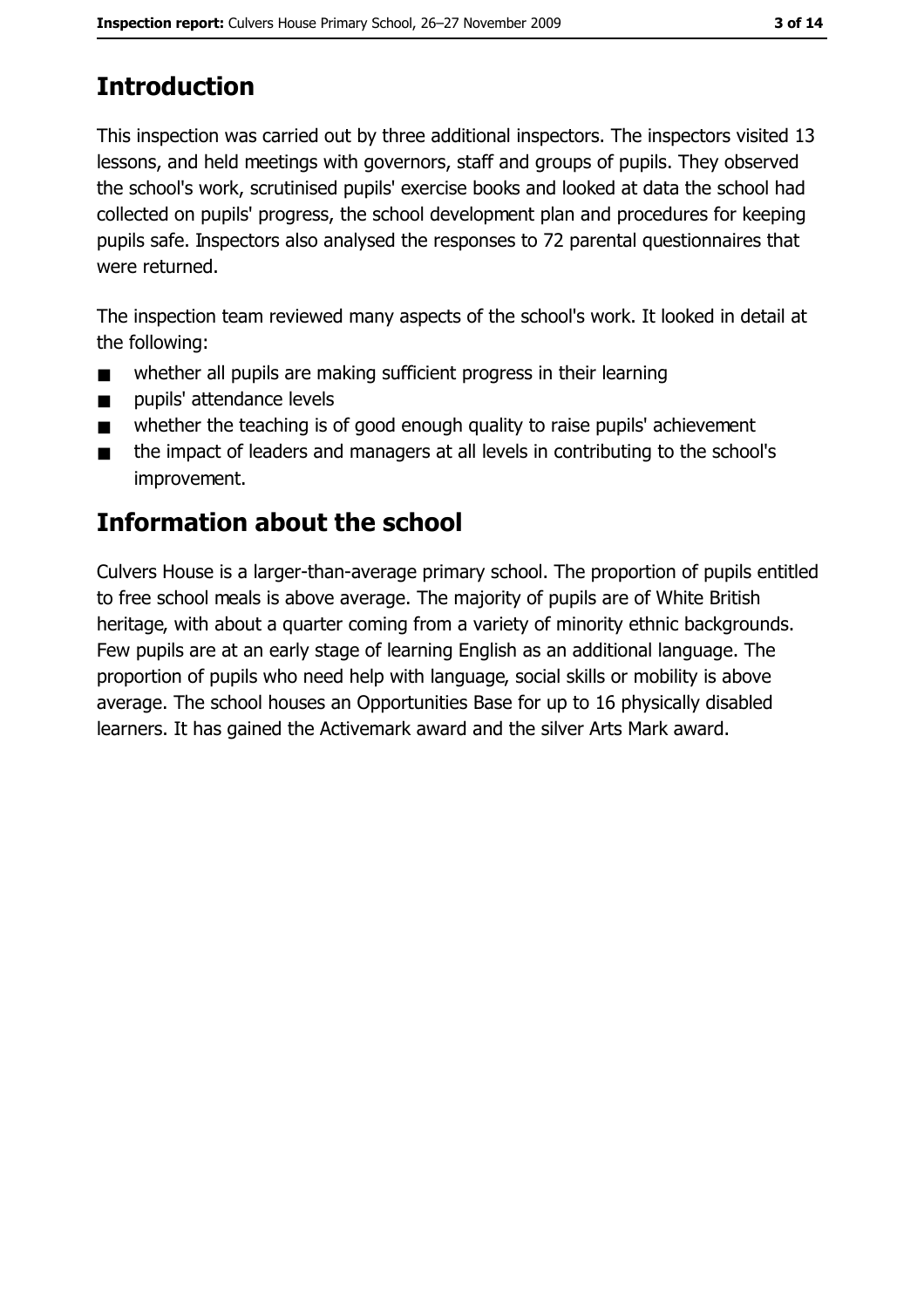# **Introduction**

This inspection was carried out by three additional inspectors. The inspectors visited 13 lessons, and held meetings with governors, staff and groups of pupils. They observed the school's work, scrutinised pupils' exercise books and looked at data the school had collected on pupils' progress, the school development plan and procedures for keeping pupils safe. Inspectors also analysed the responses to 72 parental questionnaires that were returned.

The inspection team reviewed many aspects of the school's work. It looked in detail at the following:

- whether all pupils are making sufficient progress in their learning  $\blacksquare$
- pupils' attendance levels  $\blacksquare$
- whether the teaching is of good enough quality to raise pupils' achievement  $\blacksquare$
- the impact of leaders and managers at all levels in contributing to the school's  $\blacksquare$ improvement.

# **Information about the school**

Culvers House is a larger-than-average primary school. The proportion of pupils entitled to free school meals is above average. The majority of pupils are of White British heritage, with about a quarter coming from a variety of minority ethnic backgrounds. Few pupils are at an early stage of learning English as an additional language. The proportion of pupils who need help with language, social skills or mobility is above average. The school houses an Opportunities Base for up to 16 physically disabled learners. It has gained the Activemark award and the silver Arts Mark award.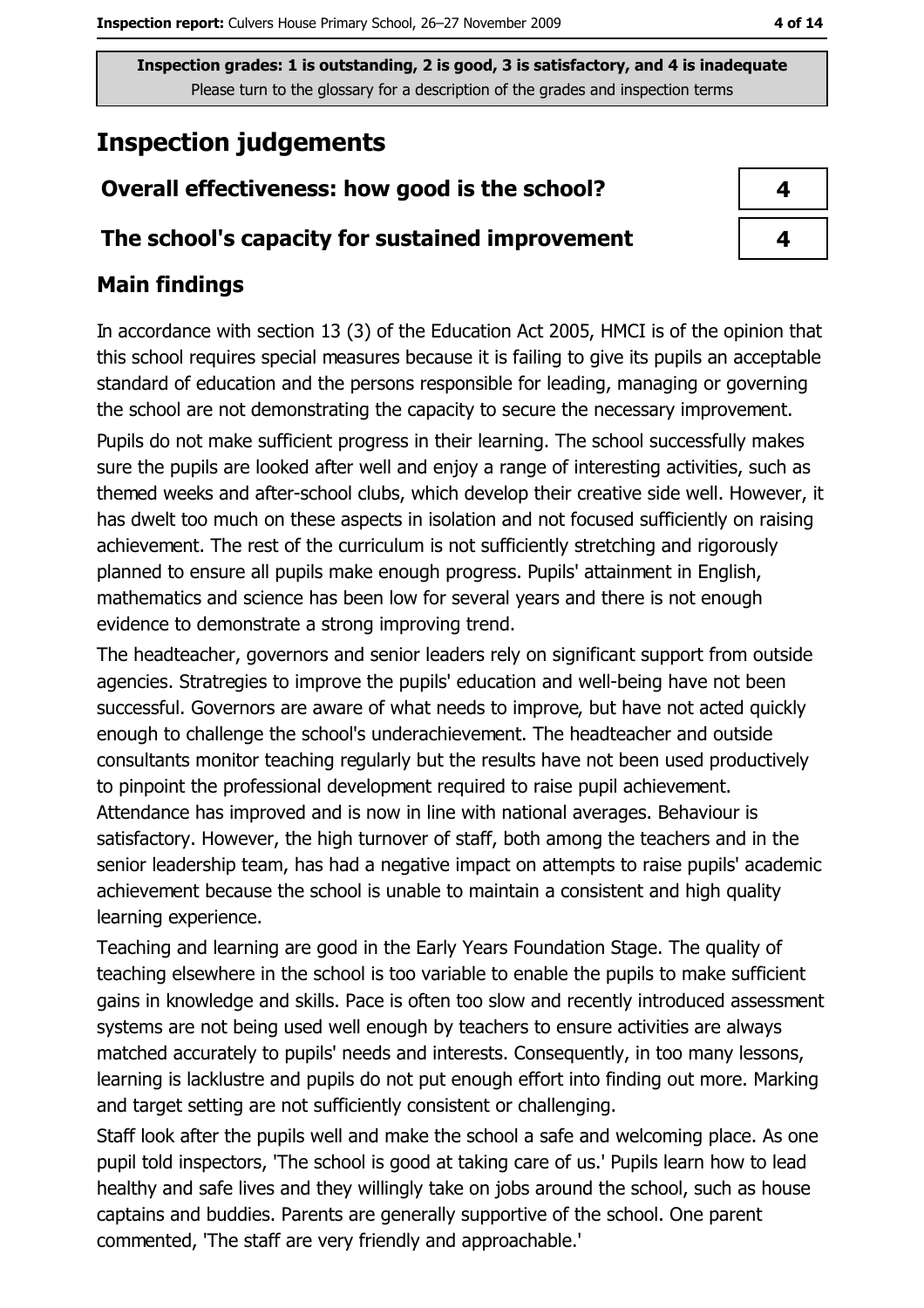## **Inspection judgements**

#### Overall effectiveness: how good is the school?

#### The school's capacity for sustained improvement

## **Main findings**

In accordance with section 13 (3) of the Education Act 2005, HMCI is of the opinion that this school requires special measures because it is failing to give its pupils an acceptable standard of education and the persons responsible for leading, managing or governing the school are not demonstrating the capacity to secure the necessary improvement. Pupils do not make sufficient progress in their learning. The school successfully makes sure the pupils are looked after well and enjoy a range of interesting activities, such as themed weeks and after-school clubs, which develop their creative side well. However, it has dwelt too much on these aspects in isolation and not focused sufficiently on raising achievement. The rest of the curriculum is not sufficiently stretching and rigorously planned to ensure all pupils make enough progress. Pupils' attainment in English, mathematics and science has been low for several years and there is not enough evidence to demonstrate a strong improving trend.

The headteacher, governors and senior leaders rely on significant support from outside agencies. Stratregies to improve the pupils' education and well-being have not been successful. Governors are aware of what needs to improve, but have not acted quickly enough to challenge the school's underachievement. The headteacher and outside consultants monitor teaching regularly but the results have not been used productively to pinpoint the professional development required to raise pupil achievement. Attendance has improved and is now in line with national averages. Behaviour is satisfactory. However, the high turnover of staff, both among the teachers and in the senior leadership team, has had a negative impact on attempts to raise pupils' academic achievement because the school is unable to maintain a consistent and high quality learning experience.

Teaching and learning are good in the Early Years Foundation Stage. The quality of teaching elsewhere in the school is too variable to enable the pupils to make sufficient gains in knowledge and skills. Pace is often too slow and recently introduced assessment systems are not being used well enough by teachers to ensure activities are always matched accurately to pupils' needs and interests. Consequently, in too many lessons, learning is lacklustre and pupils do not put enough effort into finding out more. Marking and target setting are not sufficiently consistent or challenging.

Staff look after the pupils well and make the school a safe and welcoming place. As one pupil told inspectors, 'The school is good at taking care of us.' Pupils learn how to lead healthy and safe lives and they willingly take on jobs around the school, such as house captains and buddies. Parents are generally supportive of the school. One parent commented, 'The staff are very friendly and approachable.'

| 4 |  |
|---|--|
| 4 |  |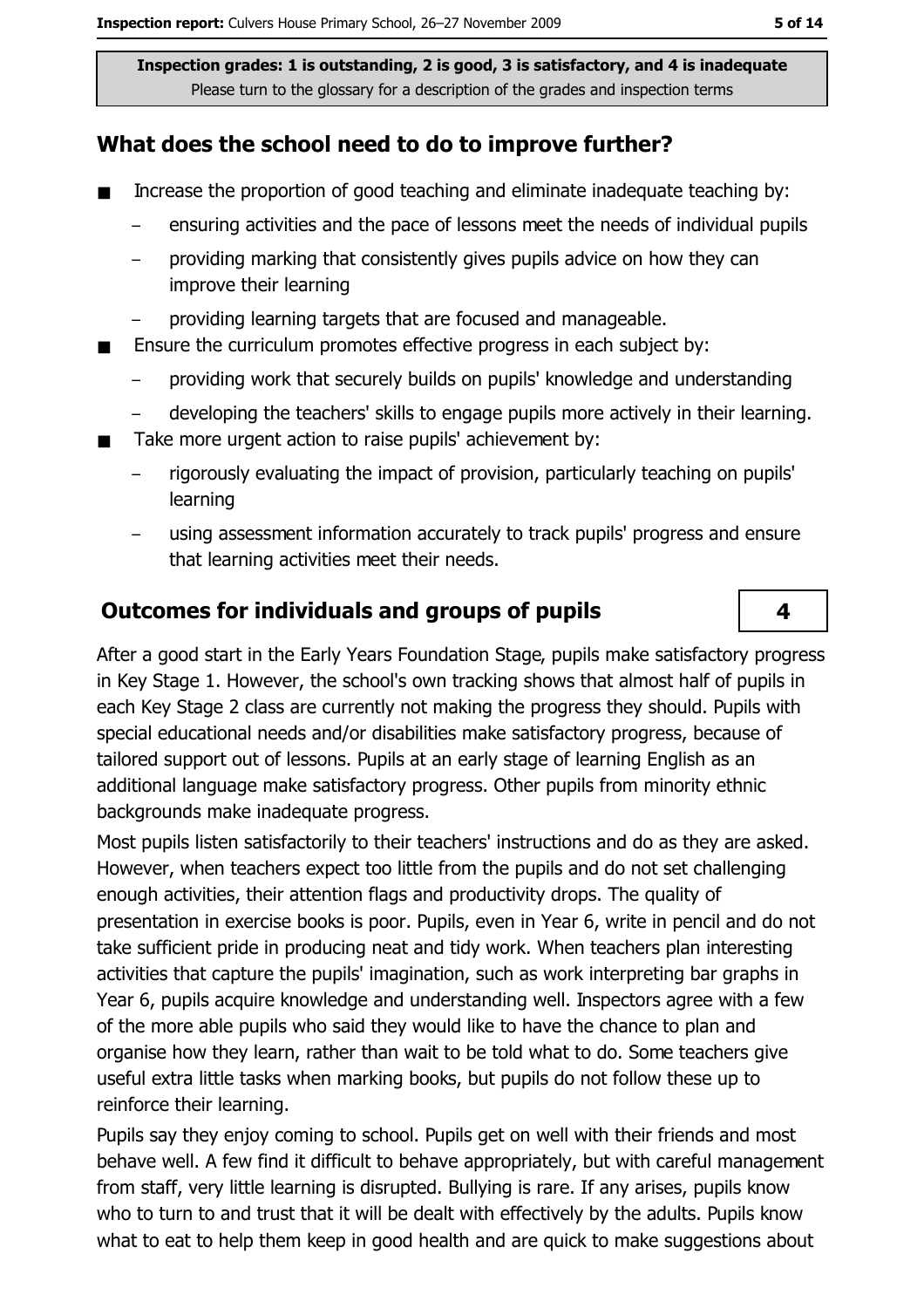### What does the school need to do to improve further?

- $\blacksquare$ Increase the proportion of good teaching and eliminate inadequate teaching by:
	- ensuring activities and the pace of lessons meet the needs of individual pupils
	- providing marking that consistently gives pupils advice on how they can improve their learning
	- providing learning targets that are focused and manageable.
- Ensure the curriculum promotes effective progress in each subject by:  $\blacksquare$ 
	- providing work that securely builds on pupils' knowledge and understanding
	- developing the teachers' skills to engage pupils more actively in their learning.  $\equiv$
- Take more urgent action to raise pupils' achievement by:
	- rigorously evaluating the impact of provision, particularly teaching on pupils' learning
	- using assessment information accurately to track pupils' progress and ensure that learning activities meet their needs.

#### **Outcomes for individuals and groups of pupils**

After a good start in the Early Years Foundation Stage, pupils make satisfactory progress in Key Stage 1. However, the school's own tracking shows that almost half of pupils in each Key Stage 2 class are currently not making the progress they should. Pupils with special educational needs and/or disabilities make satisfactory progress, because of tailored support out of lessons. Pupils at an early stage of learning English as an additional language make satisfactory progress. Other pupils from minority ethnic backgrounds make inadequate progress.

Most pupils listen satisfactorily to their teachers' instructions and do as they are asked. However, when teachers expect too little from the pupils and do not set challenging enough activities, their attention flags and productivity drops. The quality of presentation in exercise books is poor. Pupils, even in Year 6, write in pencil and do not take sufficient pride in producing neat and tidy work. When teachers plan interesting activities that capture the pupils' imagination, such as work interpreting bar graphs in Year 6, pupils acquire knowledge and understanding well. Inspectors agree with a few of the more able pupils who said they would like to have the chance to plan and organise how they learn, rather than wait to be told what to do. Some teachers give useful extra little tasks when marking books, but pupils do not follow these up to reinforce their learning.

Pupils say they enjoy coming to school. Pupils get on well with their friends and most behave well. A few find it difficult to behave appropriately, but with careful management from staff, very little learning is disrupted. Bullying is rare. If any arises, pupils know who to turn to and trust that it will be dealt with effectively by the adults. Pupils know what to eat to help them keep in good health and are quick to make suggestions about

4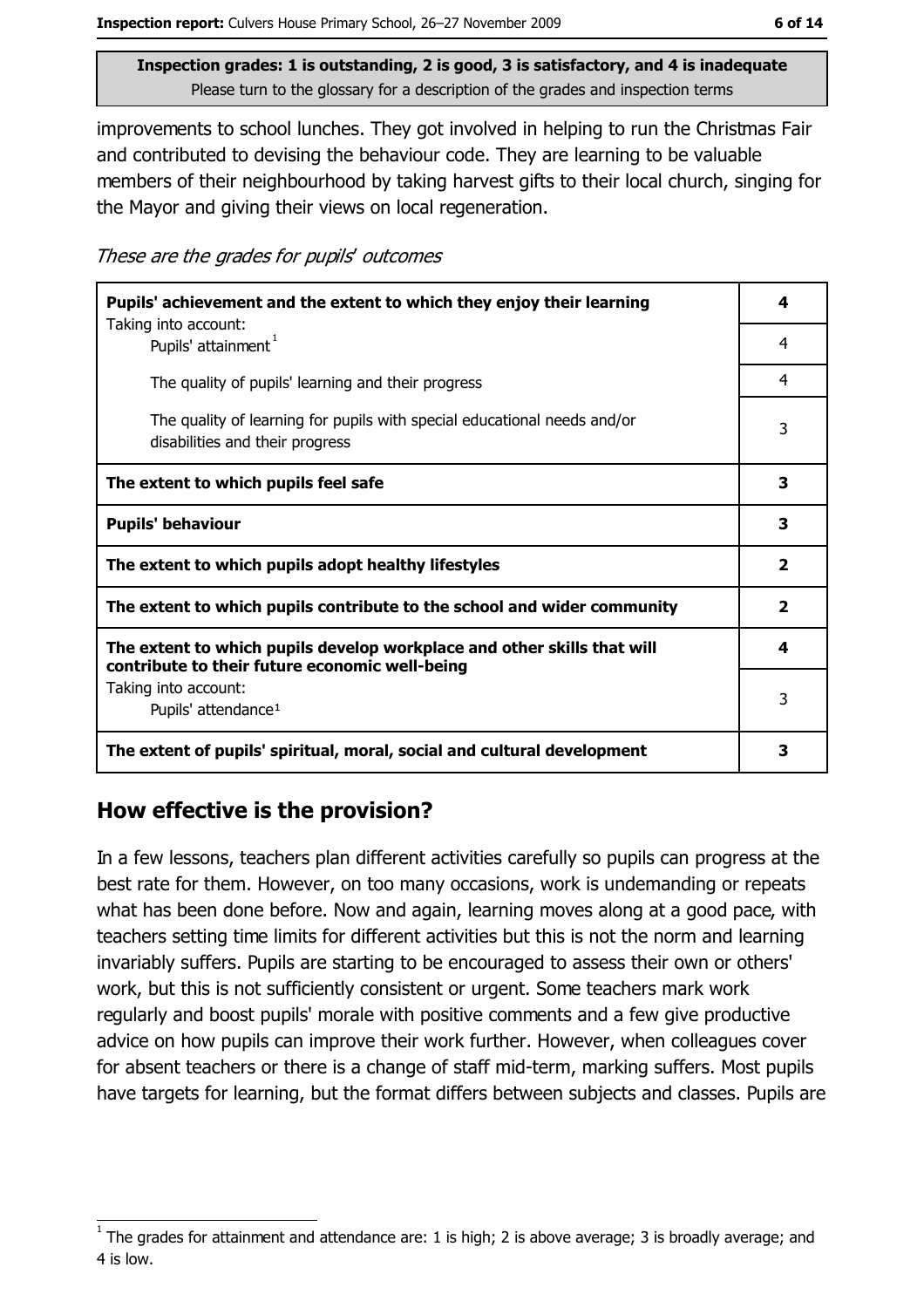improvements to school lunches. They got involved in helping to run the Christmas Fair and contributed to devising the behaviour code. They are learning to be valuable members of their neighbourhood by taking harvest gifts to their local church, singing for the Mayor and giving their views on local regeneration.

These are the grades for pupils' outcomes

| Pupils' achievement and the extent to which they enjoy their learning                                                     |                         |
|---------------------------------------------------------------------------------------------------------------------------|-------------------------|
| Taking into account:<br>Pupils' attainment <sup>1</sup>                                                                   | 4                       |
| The quality of pupils' learning and their progress                                                                        | 4                       |
| The quality of learning for pupils with special educational needs and/or<br>disabilities and their progress               | 3                       |
| The extent to which pupils feel safe                                                                                      | 3                       |
| <b>Pupils' behaviour</b>                                                                                                  | 3                       |
| The extent to which pupils adopt healthy lifestyles                                                                       | $\overline{\mathbf{2}}$ |
| The extent to which pupils contribute to the school and wider community                                                   |                         |
| The extent to which pupils develop workplace and other skills that will<br>contribute to their future economic well-being | 4                       |
| Taking into account:                                                                                                      | 3                       |
| Pupils' attendance <sup>1</sup>                                                                                           |                         |
| The extent of pupils' spiritual, moral, social and cultural development                                                   | 3                       |

## How effective is the provision?

In a few lessons, teachers plan different activities carefully so pupils can progress at the best rate for them. However, on too many occasions, work is undemanding or repeats what has been done before. Now and again, learning moves along at a good pace, with teachers setting time limits for different activities but this is not the norm and learning invariably suffers. Pupils are starting to be encouraged to assess their own or others' work, but this is not sufficiently consistent or urgent. Some teachers mark work regularly and boost pupils' morale with positive comments and a few give productive advice on how pupils can improve their work further. However, when colleagues cover for absent teachers or there is a change of staff mid-term, marking suffers. Most pupils have targets for learning, but the format differs between subjects and classes. Pupils are

The grades for attainment and attendance are: 1 is high; 2 is above average; 3 is broadly average; and 4 is low.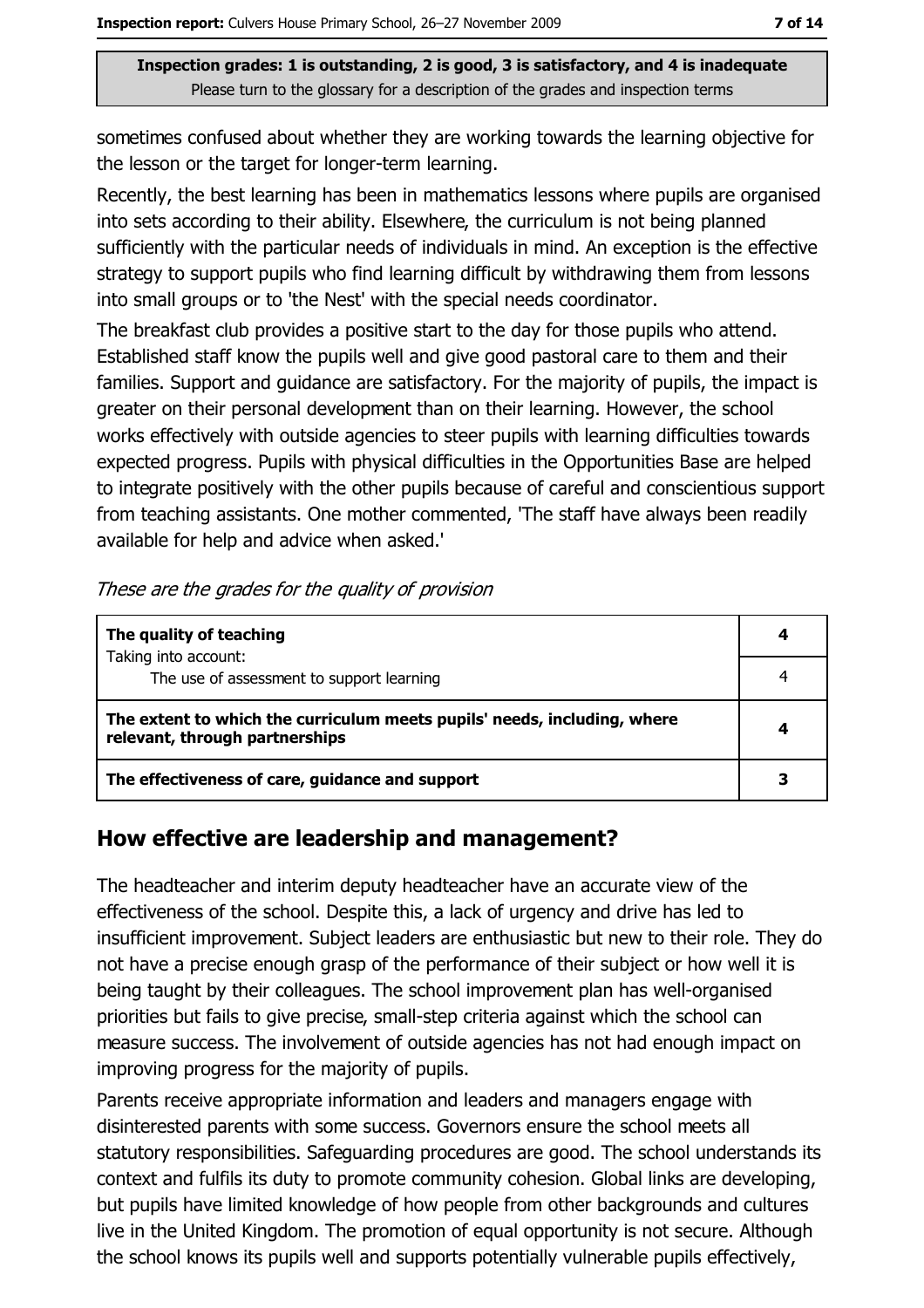sometimes confused about whether they are working towards the learning objective for the lesson or the target for longer-term learning.

Recently, the best learning has been in mathematics lessons where pupils are organised into sets according to their ability. Elsewhere, the curriculum is not being planned sufficiently with the particular needs of individuals in mind. An exception is the effective strategy to support pupils who find learning difficult by withdrawing them from lessons into small groups or to 'the Nest' with the special needs coordinator.

The breakfast club provides a positive start to the day for those pupils who attend. Established staff know the pupils well and give good pastoral care to them and their families. Support and quidance are satisfactory. For the majority of pupils, the impact is greater on their personal development than on their learning. However, the school works effectively with outside agencies to steer pupils with learning difficulties towards expected progress. Pupils with physical difficulties in the Opportunities Base are helped to integrate positively with the other pupils because of careful and conscientious support from teaching assistants. One mother commented, 'The staff have always been readily available for help and advice when asked.'

| The quality of teaching                                                                                    |  |
|------------------------------------------------------------------------------------------------------------|--|
| Taking into account:                                                                                       |  |
| The use of assessment to support learning                                                                  |  |
| The extent to which the curriculum meets pupils' needs, including, where<br>relevant, through partnerships |  |
| The effectiveness of care, guidance and support                                                            |  |

These are the grades for the quality of provision

#### How effective are leadership and management?

The headteacher and interim deputy headteacher have an accurate view of the effectiveness of the school. Despite this, a lack of urgency and drive has led to insufficient improvement. Subject leaders are enthusiastic but new to their role. They do not have a precise enough grasp of the performance of their subject or how well it is being taught by their colleagues. The school improvement plan has well-organised priorities but fails to give precise, small-step criteria against which the school can measure success. The involvement of outside agencies has not had enough impact on improving progress for the majority of pupils.

Parents receive appropriate information and leaders and managers engage with disinterested parents with some success. Governors ensure the school meets all statutory responsibilities. Safeguarding procedures are good. The school understands its context and fulfils its duty to promote community cohesion. Global links are developing, but pupils have limited knowledge of how people from other backgrounds and cultures live in the United Kingdom. The promotion of equal opportunity is not secure. Although the school knows its pupils well and supports potentially vulnerable pupils effectively,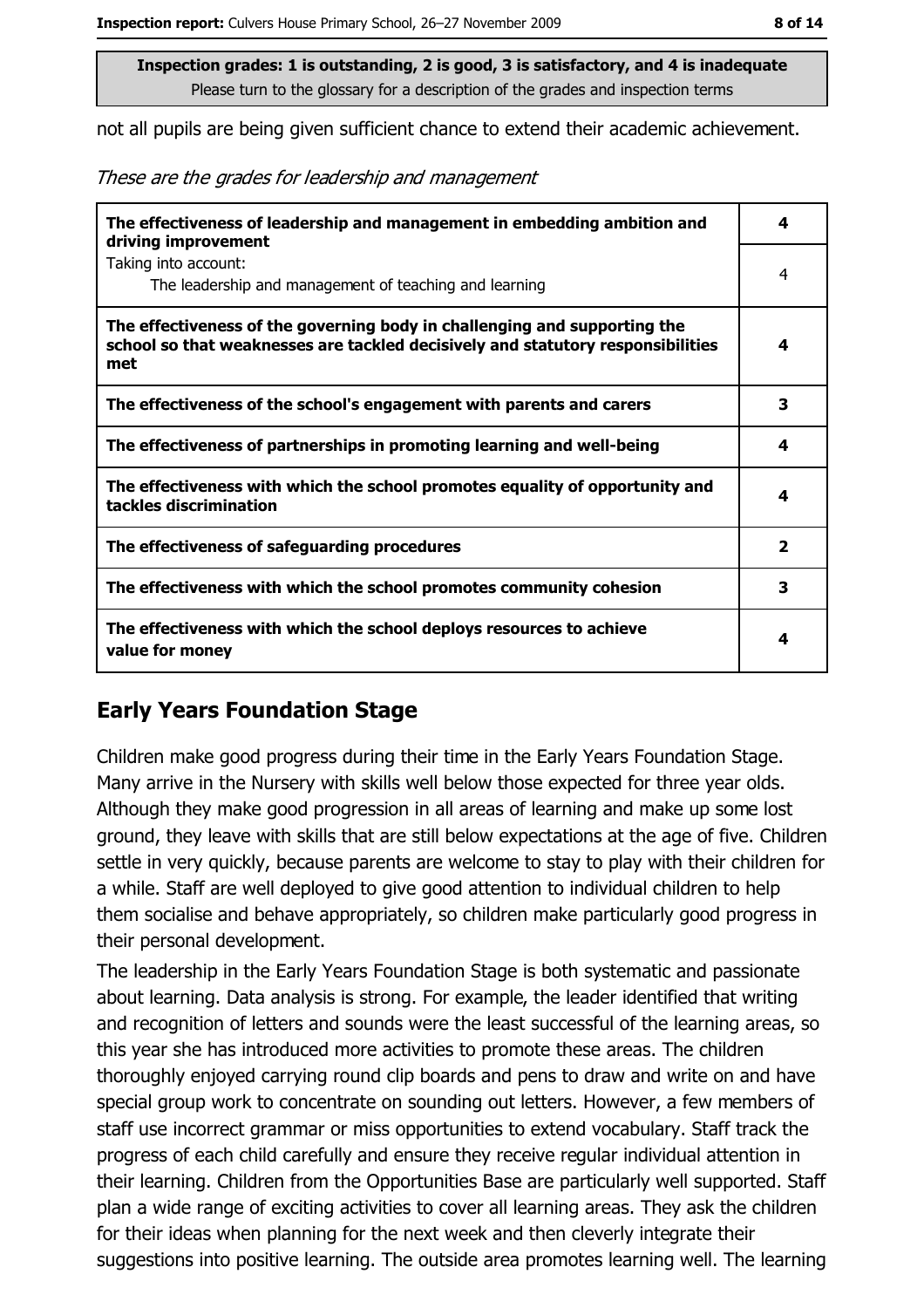not all pupils are being given sufficient chance to extend their academic achievement.

These are the grades for leadership and management

| The effectiveness of leadership and management in embedding ambition and<br>driving improvement                                                                     | 4              |
|---------------------------------------------------------------------------------------------------------------------------------------------------------------------|----------------|
| Taking into account:<br>The leadership and management of teaching and learning                                                                                      | 4              |
| The effectiveness of the governing body in challenging and supporting the<br>school so that weaknesses are tackled decisively and statutory responsibilities<br>met | 4              |
| The effectiveness of the school's engagement with parents and carers                                                                                                | 3              |
| The effectiveness of partnerships in promoting learning and well-being                                                                                              | 4              |
| The effectiveness with which the school promotes equality of opportunity and<br>tackles discrimination                                                              | 4              |
| The effectiveness of safeguarding procedures                                                                                                                        | $\overline{2}$ |
| The effectiveness with which the school promotes community cohesion                                                                                                 | 3              |
| The effectiveness with which the school deploys resources to achieve<br>value for money                                                                             | 4              |

#### **Early Years Foundation Stage**

Children make good progress during their time in the Early Years Foundation Stage. Many arrive in the Nursery with skills well below those expected for three year olds. Although they make good progression in all areas of learning and make up some lost ground, they leave with skills that are still below expectations at the age of five. Children settle in very quickly, because parents are welcome to stay to play with their children for a while. Staff are well deployed to give good attention to individual children to help them socialise and behave appropriately, so children make particularly good progress in their personal development.

The leadership in the Early Years Foundation Stage is both systematic and passionate about learning. Data analysis is strong. For example, the leader identified that writing and recognition of letters and sounds were the least successful of the learning areas, so this year she has introduced more activities to promote these areas. The children thoroughly enjoyed carrying round clip boards and pens to draw and write on and have special group work to concentrate on sounding out letters. However, a few members of staff use incorrect grammar or miss opportunities to extend vocabulary. Staff track the progress of each child carefully and ensure they receive regular individual attention in their learning. Children from the Opportunities Base are particularly well supported. Staff plan a wide range of exciting activities to cover all learning areas. They ask the children for their ideas when planning for the next week and then cleverly integrate their suggestions into positive learning. The outside area promotes learning well. The learning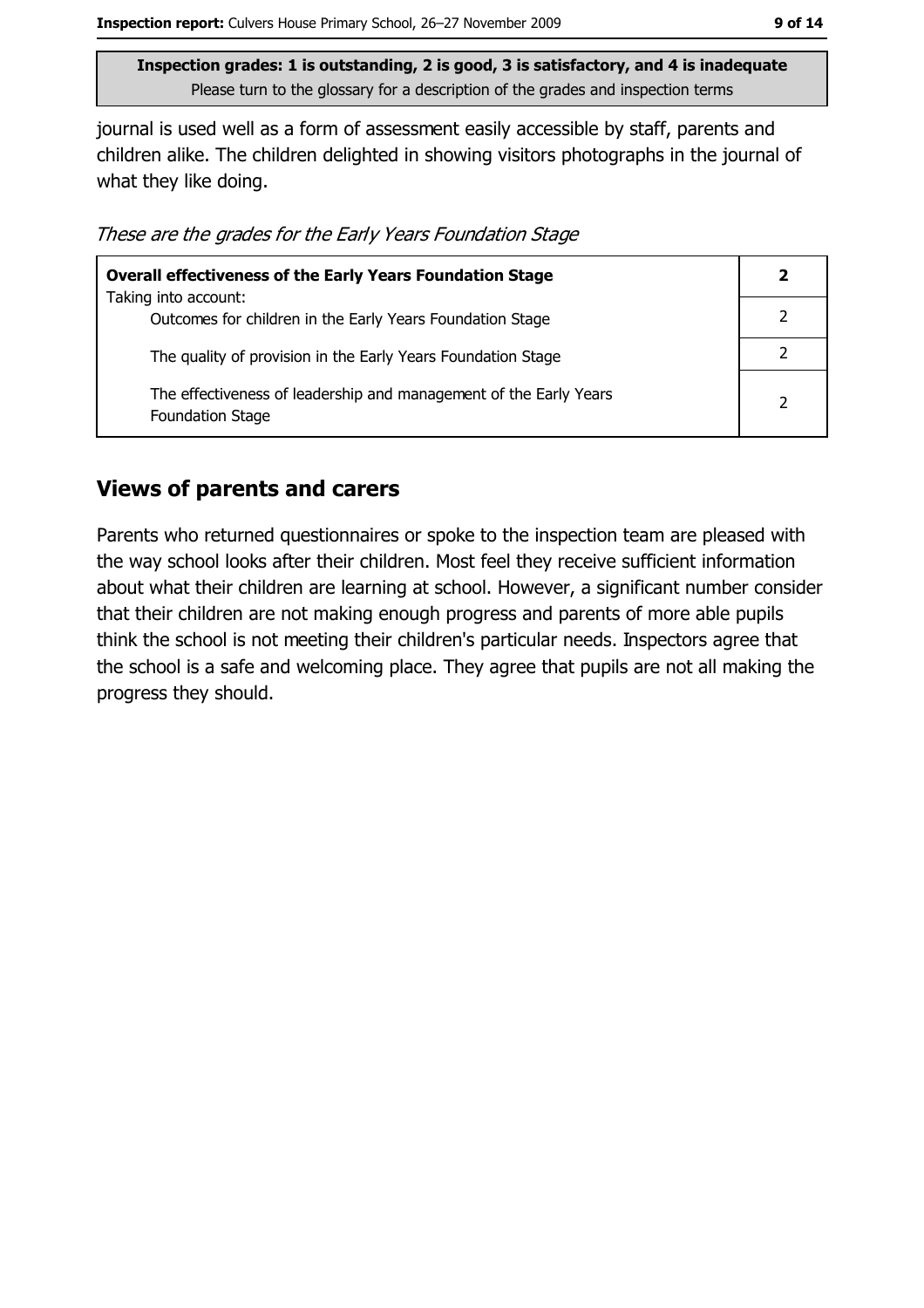journal is used well as a form of assessment easily accessible by staff, parents and children alike. The children delighted in showing visitors photographs in the journal of what they like doing.

These are the grades for the Early Years Foundation Stage

| <b>Overall effectiveness of the Early Years Foundation Stage</b>                             |   |
|----------------------------------------------------------------------------------------------|---|
| Taking into account:<br>Outcomes for children in the Early Years Foundation Stage            |   |
|                                                                                              |   |
| The quality of provision in the Early Years Foundation Stage                                 |   |
| The effectiveness of leadership and management of the Early Years<br><b>Foundation Stage</b> | 2 |

#### **Views of parents and carers**

Parents who returned questionnaires or spoke to the inspection team are pleased with the way school looks after their children. Most feel they receive sufficient information about what their children are learning at school. However, a significant number consider that their children are not making enough progress and parents of more able pupils think the school is not meeting their children's particular needs. Inspectors agree that the school is a safe and welcoming place. They agree that pupils are not all making the progress they should.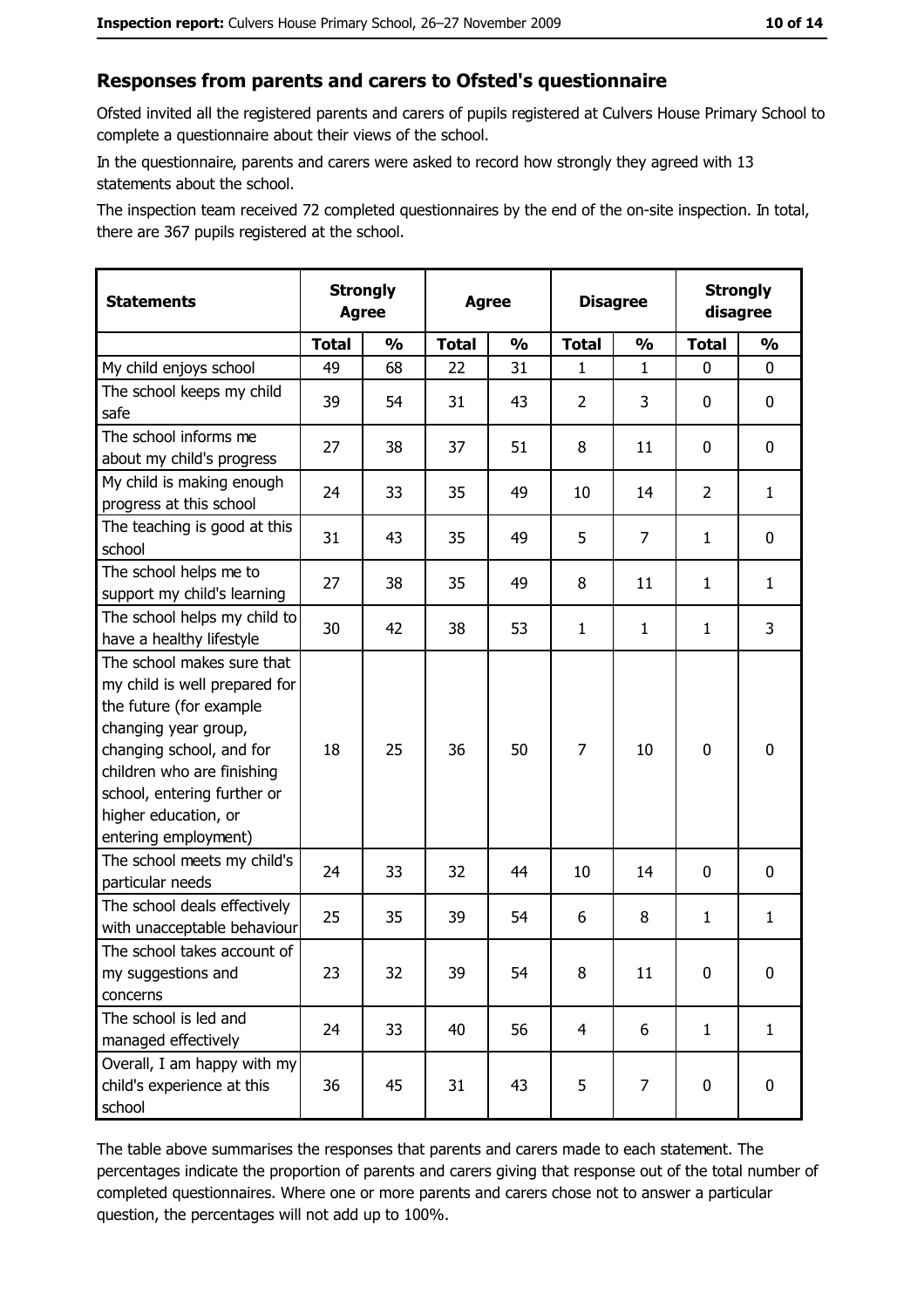#### Responses from parents and carers to Ofsted's questionnaire

Ofsted invited all the registered parents and carers of pupils registered at Culvers House Primary School to complete a questionnaire about their views of the school.

In the questionnaire, parents and carers were asked to record how strongly they agreed with 13 statements about the school.

The inspection team received 72 completed questionnaires by the end of the on-site inspection. In total, there are 367 pupils registered at the school.

| <b>Statements</b>                                                                                                                                                                                                                                       | <b>Strongly</b><br><b>Agree</b> |               | <b>Agree</b> |               |                | <b>Disagree</b> |                | <b>Strongly</b><br>disagree |  |
|---------------------------------------------------------------------------------------------------------------------------------------------------------------------------------------------------------------------------------------------------------|---------------------------------|---------------|--------------|---------------|----------------|-----------------|----------------|-----------------------------|--|
|                                                                                                                                                                                                                                                         | <b>Total</b>                    | $\frac{0}{0}$ | <b>Total</b> | $\frac{0}{0}$ | <b>Total</b>   | $\frac{0}{0}$   | <b>Total</b>   | $\frac{1}{2}$               |  |
| My child enjoys school                                                                                                                                                                                                                                  | 49                              | 68            | 22           | 31            | 1              | $\mathbf{1}$    | $\mathbf{0}$   | 0                           |  |
| The school keeps my child<br>safe                                                                                                                                                                                                                       | 39                              | 54            | 31           | 43            | $\overline{2}$ | 3               | 0              | $\mathbf 0$                 |  |
| The school informs me<br>about my child's progress                                                                                                                                                                                                      | 27                              | 38            | 37           | 51            | 8              | 11              | 0              | 0                           |  |
| My child is making enough<br>progress at this school                                                                                                                                                                                                    | 24                              | 33            | 35           | 49            | 10             | 14              | $\overline{2}$ | $\mathbf{1}$                |  |
| The teaching is good at this<br>school                                                                                                                                                                                                                  | 31                              | 43            | 35           | 49            | 5              | $\overline{7}$  | 1              | 0                           |  |
| The school helps me to<br>support my child's learning                                                                                                                                                                                                   | 27                              | 38            | 35           | 49            | 8              | 11              | 1              | $\mathbf{1}$                |  |
| The school helps my child to<br>have a healthy lifestyle                                                                                                                                                                                                | 30                              | 42            | 38           | 53            | $\mathbf{1}$   | $\mathbf{1}$    | 1              | 3                           |  |
| The school makes sure that<br>my child is well prepared for<br>the future (for example<br>changing year group,<br>changing school, and for<br>children who are finishing<br>school, entering further or<br>higher education, or<br>entering employment) | 18                              | 25            | 36           | 50            | $\overline{7}$ | 10              | $\mathbf 0$    | $\mathbf 0$                 |  |
| The school meets my child's<br>particular needs                                                                                                                                                                                                         | 24                              | 33            | 32           | 44            | 10             | 14              | 0              | 0                           |  |
| The school deals effectively<br>with unacceptable behaviour                                                                                                                                                                                             | 25                              | 35            | 39           | 54            | 6              | 8               | 1              | $\mathbf{1}$                |  |
| The school takes account of<br>my suggestions and<br>concerns                                                                                                                                                                                           | 23                              | 32            | 39           | 54            | 8              | 11              | 0              | 0                           |  |
| The school is led and<br>managed effectively                                                                                                                                                                                                            | 24                              | 33            | 40           | 56            | $\overline{4}$ | 6               | $\mathbf{1}$   | $\mathbf{1}$                |  |
| Overall, I am happy with my<br>child's experience at this<br>school                                                                                                                                                                                     | 36                              | 45            | 31           | 43            | 5              | 7               | $\mathbf 0$    | 0                           |  |

The table above summarises the responses that parents and carers made to each statement. The percentages indicate the proportion of parents and carers giving that response out of the total number of completed questionnaires. Where one or more parents and carers chose not to answer a particular question, the percentages will not add up to 100%.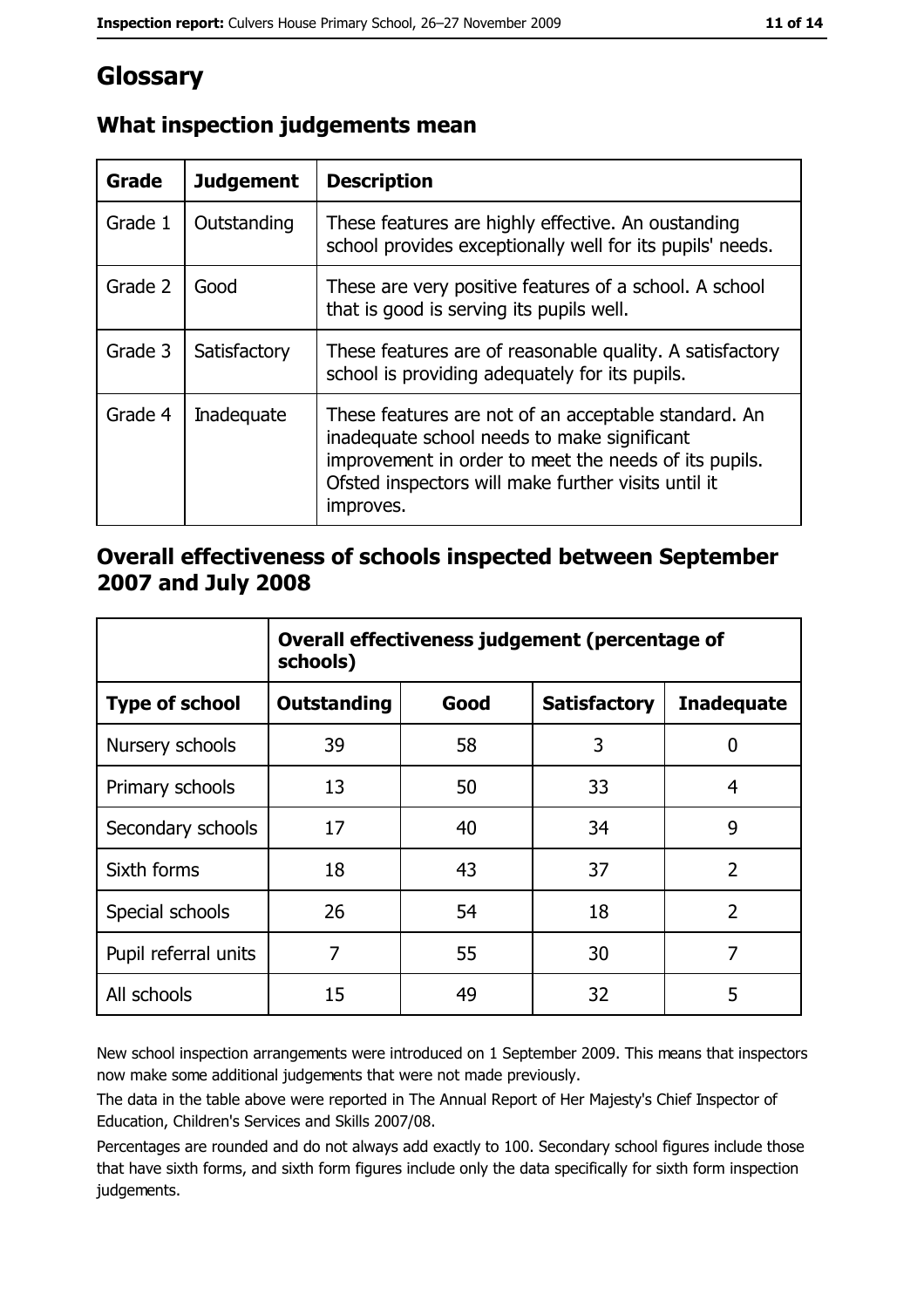# Glossary

| <b>Grade</b> | <b>Judgement</b> | <b>Description</b>                                                                                                                                                                                                               |
|--------------|------------------|----------------------------------------------------------------------------------------------------------------------------------------------------------------------------------------------------------------------------------|
| Grade 1      | Outstanding      | These features are highly effective. An oustanding<br>school provides exceptionally well for its pupils' needs.                                                                                                                  |
| Grade 2      | Good             | These are very positive features of a school. A school<br>that is good is serving its pupils well.                                                                                                                               |
| Grade 3      | Satisfactory     | These features are of reasonable quality. A satisfactory<br>school is providing adequately for its pupils.                                                                                                                       |
| Grade 4      | Inadequate       | These features are not of an acceptable standard. An<br>inadequate school needs to make significant<br>improvement in order to meet the needs of its pupils.<br>Ofsted inspectors will make further visits until it<br>improves. |

## What inspection judgements mean

#### Overall effectiveness of schools inspected between September 2007 and July 2008

|                       | Overall effectiveness judgement (percentage of<br>schools) |      |                     |                   |
|-----------------------|------------------------------------------------------------|------|---------------------|-------------------|
| <b>Type of school</b> | <b>Outstanding</b>                                         | Good | <b>Satisfactory</b> | <b>Inadequate</b> |
| Nursery schools       | 39                                                         | 58   | 3                   | 0                 |
| Primary schools       | 13                                                         | 50   | 33                  | 4                 |
| Secondary schools     | 17                                                         | 40   | 34                  | 9                 |
| Sixth forms           | 18                                                         | 43   | 37                  | $\overline{2}$    |
| Special schools       | 26                                                         | 54   | 18                  | $\overline{2}$    |
| Pupil referral units  | 7                                                          | 55   | 30                  | 7                 |
| All schools           | 15                                                         | 49   | 32                  | 5                 |

New school inspection arrangements were introduced on 1 September 2009. This means that inspectors now make some additional judgements that were not made previously.

The data in the table above were reported in The Annual Report of Her Majesty's Chief Inspector of Education, Children's Services and Skills 2007/08.

Percentages are rounded and do not always add exactly to 100. Secondary school figures include those that have sixth forms, and sixth form figures include only the data specifically for sixth form inspection judgements.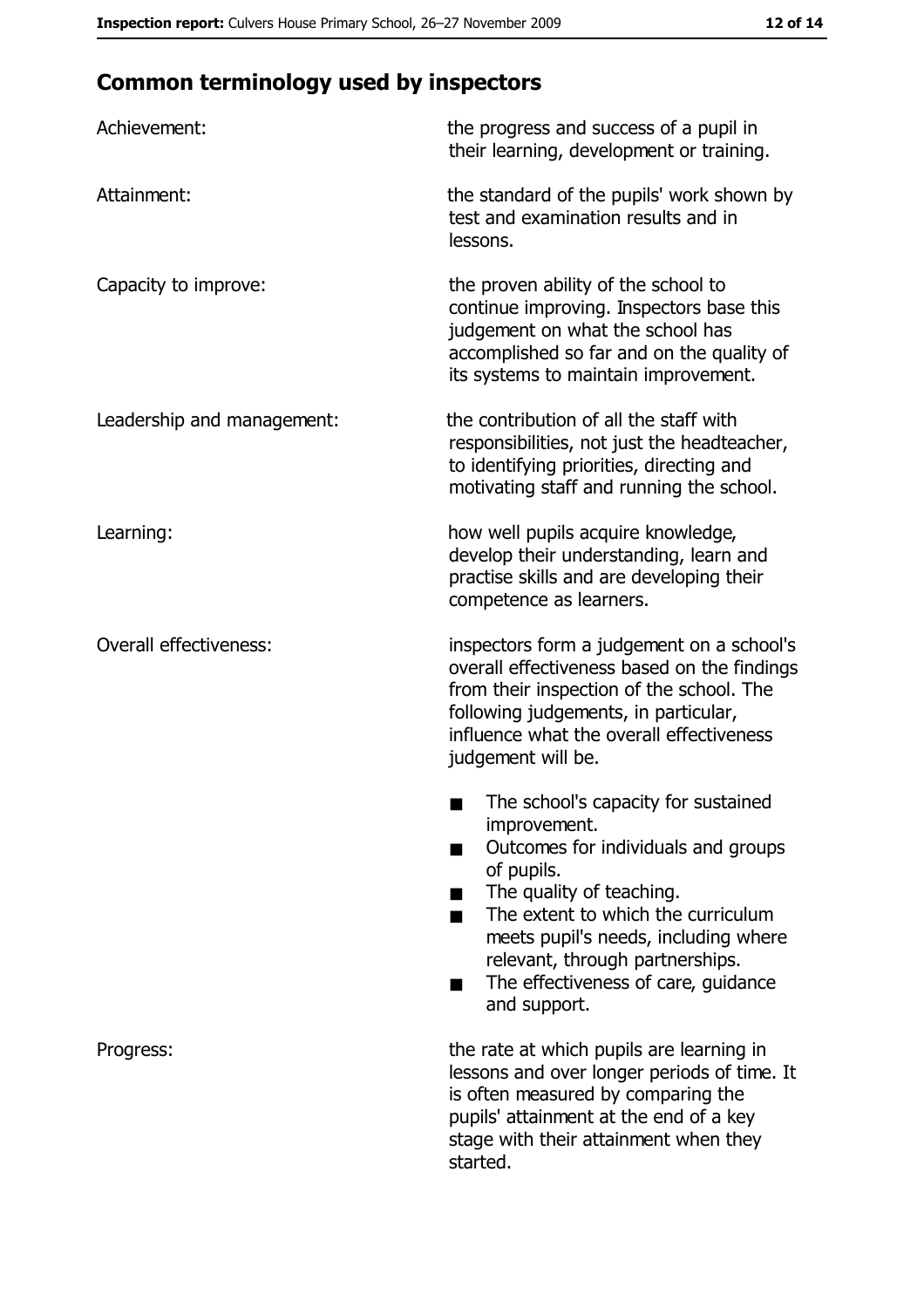# **Common terminology used by inspectors**

| Achievement:                  | the progress and success of a pupil in<br>their learning, development or training.                                                                                                                                                                                                                           |
|-------------------------------|--------------------------------------------------------------------------------------------------------------------------------------------------------------------------------------------------------------------------------------------------------------------------------------------------------------|
| Attainment:                   | the standard of the pupils' work shown by<br>test and examination results and in<br>lessons.                                                                                                                                                                                                                 |
| Capacity to improve:          | the proven ability of the school to<br>continue improving. Inspectors base this<br>judgement on what the school has<br>accomplished so far and on the quality of<br>its systems to maintain improvement.                                                                                                     |
| Leadership and management:    | the contribution of all the staff with<br>responsibilities, not just the headteacher,<br>to identifying priorities, directing and<br>motivating staff and running the school.                                                                                                                                |
| Learning:                     | how well pupils acquire knowledge,<br>develop their understanding, learn and<br>practise skills and are developing their<br>competence as learners.                                                                                                                                                          |
| <b>Overall effectiveness:</b> | inspectors form a judgement on a school's<br>overall effectiveness based on the findings<br>from their inspection of the school. The<br>following judgements, in particular,<br>influence what the overall effectiveness<br>judgement will be.                                                               |
|                               | The school's capacity for sustained<br>improvement.<br>Outcomes for individuals and groups<br>of pupils.<br>The quality of teaching.<br>The extent to which the curriculum<br>meets pupil's needs, including where<br>relevant, through partnerships.<br>The effectiveness of care, guidance<br>and support. |
| Progress:                     | the rate at which pupils are learning in<br>lessons and over longer periods of time. It<br>is often measured by comparing the<br>pupils' attainment at the end of a key<br>stage with their attainment when they<br>started.                                                                                 |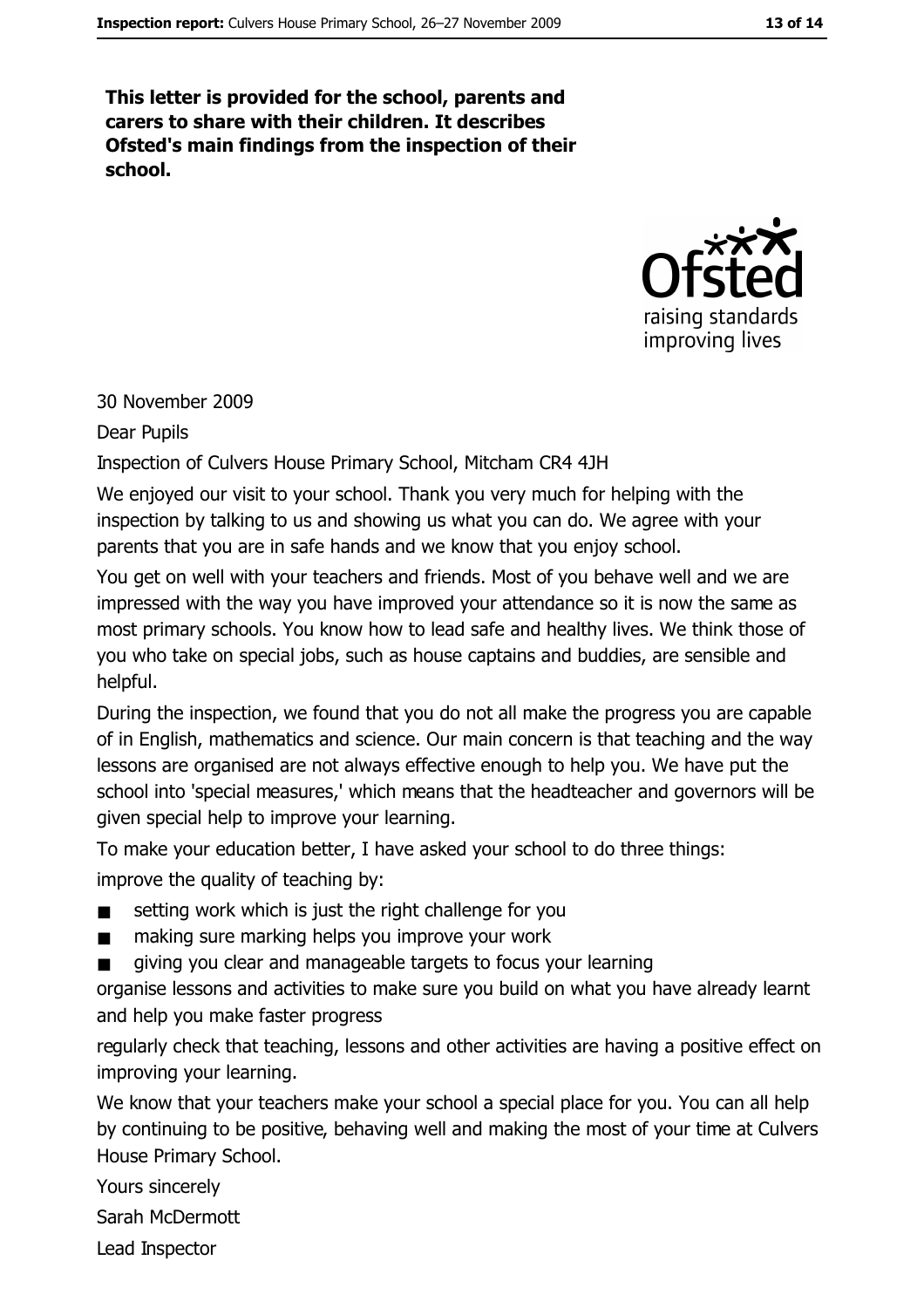This letter is provided for the school, parents and carers to share with their children. It describes Ofsted's main findings from the inspection of their school.



#### 30 November 2009

Dear Pupils

Inspection of Culvers House Primary School, Mitcham CR4 4JH

We enjoyed our visit to your school. Thank you very much for helping with the inspection by talking to us and showing us what you can do. We agree with your parents that you are in safe hands and we know that you enjoy school.

You get on well with your teachers and friends. Most of you behave well and we are impressed with the way you have improved your attendance so it is now the same as most primary schools. You know how to lead safe and healthy lives. We think those of you who take on special jobs, such as house captains and buddies, are sensible and helpful.

During the inspection, we found that you do not all make the progress you are capable of in English, mathematics and science. Our main concern is that teaching and the way lessons are organised are not always effective enough to help you. We have put the school into 'special measures,' which means that the headteacher and governors will be given special help to improve your learning.

To make your education better, I have asked your school to do three things: improve the quality of teaching by:

- setting work which is just the right challenge for you  $\blacksquare$
- $\blacksquare$ making sure marking helps you improve your work
- giving you clear and manageable targets to focus your learning

organise lessons and activities to make sure you build on what you have already learnt and help you make faster progress

regularly check that teaching, lessons and other activities are having a positive effect on improving your learning.

We know that your teachers make your school a special place for you. You can all help by continuing to be positive, behaving well and making the most of your time at Culvers House Primary School.

Yours sincerely

Sarah McDermott

Lead Inspector